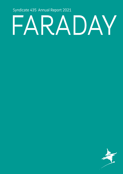Syndicate 435 Annual Report 2021

# FARADAY

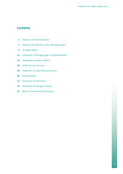# **Contents**

- Directors and Administration
- Report of the Directors of the Managing Agent
- Strategic Report
- Statement of Managing Agent's Responsibilities
- Independent Auditor's Report
- Profit and Loss Account
- Statement of Comprehensive Income
- Balance Sheet
- Statement of Cash Flows
- Statement of Changes in Equity
- Notes to the Financial Statements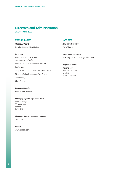# **Directors and Administration**

31 December 2021

# **Managing Agent**

*Managing Agent* Faraday Underwriting Limited

# *Directors*

Martin Pike, *Chairman and non-executive director* Andrew D'Arcy, *non-executive director* Kevin Harker Terry Masters, *Senior non-executive director* Stephen Michael, *non-executive director* Tom Shelley Chris Thorne

# **Syndicate**

*Active Underwriter* Chris Thorne

*Investment Managers* New England Asset Management Limited

## *Registered Auditor*

Deloitte LLP Statutory Auditor London United Kingdom

# *Company Secretary*

Elisabeth Richardson

## *Managing Agent's registered office*

Corn Exchange 55 Mark Lane London EC3R 7NE

*Managing Agent's registered number* 1682486

*Website* www.faraday.com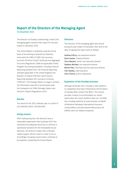# **Report of the Directors of the Managing Agent** 31 December 2021

The directors of Faraday Underwriting Limited ('the managing agent') present their report for the year ended 31 December 2021.

This Annual Report is prepared using the annual basis of accounting as required by Statutory Instrument No 1950 of 2008, the Insurance Accounts Directive (Lloyd's Syndicate and Aggregate Accounts) Regulations 2008 and applicable United Kingdom Accounting Standards, including Financial Reporting Standard 102: The Financial Reporting Standard applicable in the United Kingdom and Republic of Ireland ('FRS102') and Financial Reporting Standard 103: Insurance Contracts ('FRS103'). The Strategic Report on page 5 contains the information required to be disclosed under the Companies Act 2006 (Strategic Report and Directors' Report) Regulations 2013.

# **Results**

The result for the 2021 calendar year is a profit of £51,048,000 (2020: £49,930,000).

# **Going concern**

After making enquiries, the directors have a reasonable expectation that Syndicate 435 ('the syndicate) has adequate resources to continue in operational existence for the foreseeable future. Moreover, the directors expect that continued capital support will be in place in order to do so. Accordingly, the going concern basis continues to be adopted in preparing the Annual Report.

## **Directors**

The directors of the managing agent who served during the year ended 31 December 2021 and to the date of signing this report were as follows:

Andrew D'Arcy, *non-executive director*  Kevin Harker, *Finance Director* Terry Masters, *Senior non-executive director*  Stephen Michael, *non-executive director* Martin Pike, *Chairman and non-executive director*  Tom Shelley, *Chief Executive*  Chris Thorne, *Active Underwriter*

## **Expansion of the Faraday business**

Although Syndicate 435 is Faraday's main platform, its capabilities have been enhanced by the formation of Faraday MGA Limited ('the MGA'). This vehicle provides a means to accommodate our clients' needs when the Lloyd's platform does not. The MGA has a binding authority to write business on behalf of Berkshire Hathaway International Insurance Limited (BHIIL) and with General Reinsurance AG (GRAG), both are related companies.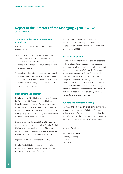# **Report of the Directors of the Managing Agent** (continued)

31 December 2021

# **Statement of disclosure of information to auditors**

Each of the directors at the date of this report confirms that:

- (a) so far as each of them is aware, there is no information relevant to the audit of the syndicate's financial statements for the year ended 31 December 2021 of which the auditors are unaware; and
- (b) the director has taken all the steps that he ought to have taken in his duty as a director to make him aware of any relevant audit information and to establish that the syndicate's auditors are aware of that information.

# **Management and capacity**

Faraday Underwriting Limited is the managing agent for Syndicate 435. Faraday Holdings Limited, the immediate parent company of the managing agent, is itself owned by General Re Corporation which is a subsidiary of Berkshire Hathaway Inc. The ultimate holding company of the Faraday group of companies is therefore Berkshire Hathaway Inc.

Syndicate capacity for the 2019 to 2022 years of account has been provided in full by Faraday Capital Limited, a wholly owned subsidiary of Faraday Holdings Limited. The capacity in recent years is as follows 2019: £400m, 2020 and 2021: £435m.

Capacity for 2022 has been set at £480m.

Faraday Capital Limited has exercised its right to waive the requirement to prepare separate accounts for the 2019 closed year of account.

Faraday is composed of Faraday Holdings Limited and its subsidiaries Faraday Underwriting Limited, Faraday Capital Limited, Faraday MGA Limited and GRF Services Limited.

## **Future developments**

Future developments at the syndicate are described in the Strategic Report on page 5. The managing agent continues to monitor the implications of Brexit and has been using Lloyd's Europe for EU business written since January 2019. Lloyd's completed a Part VII transfer on 30 December 2020 covering European business written through Lloyd's from 1993 to 2018. Whilst less than 5% of the premium income was derived from EU territories in 2021, a robust review of the likely impact of Brexit indicates that the business will not be adversely affected. More detail is provided in note 20.

# **Auditors and syndicate meeting**

The managing agent hereby gives formal notification of a proposal to re-appoint Deloitte LLP as auditor of Syndicate 435 for a further year. In addition, the managing agent confirms that it does not propose to hold an annual general meeting of the syndicate.

By order of the board

# Elisabeth Richardson *Company Secretary* London 1 March 2022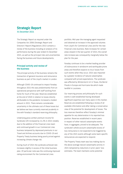# **Strategic Report**

31 December 2021

The Strategic Report as required under the Companies Act 2006 (Strategic Report and Directors' Report) Regulations 2013 contains a review of the business including an analysis of its performance during the year ended 31 December 2021, as well as the principal risks and uncertainties facing the business and future developments.

# **Principal activity and review of the business**

The principal activity of the business remains the transaction of general insurance and reinsurance business as part of the Lloyd's market in London.

Although COVID-19 continued to impact Faraday throughout 2021 this was predominantly from an operational perspective with staff working from home for much of the year. Reserves established at the end of 2020 in relation to losses directly attributable to the pandemic increased a modest amount in 2021. There remains considerable uncertainty in the ultimate cost of these losses but we believe we have currently reserved prudently in line with Faraday's standard reserving philosophy.

Underlying gross written premium income for Syndicate 435 increased by 11.2% in 2021 notably due to the addition of the Financial Lines team and continued growth in our Commercial Lines business tempered by depressed premiums in our Travel and Airlines accounts due to COVID-19 and Property Treaty business being poorly priced against increasing climate change risk.

During much of 2021 the syndicate achieved rate increases slightly in excess of the initial business plan. Of particular note was the continuing improved rating environment for the Commercial Lines

portfolio. Mid-year the managing agent requested and obtained an increase in the approved volumes from Lloyd's for Commercial Lines and for the new Financial Lines business. Rate increases for certain areas slowed in the last quarter of 2021; the overall rate increase was consequently marginally below the plan for the year.

Faraday continues to be a market leading provider of (re)insurance in windstorm and earthquake prone areas and therefore expects to incur losses from such events when they occur. 2021 was impacted by a greater incidence of natural catastrophes compared with priced expectations. The syndicate was affected by Winterstorm Uri in Texas, the Bernd Floods in Europe and Hurricane Ida which made landfall in Louisiana.

Our reserving process and philosophy for such events is well established having developed significant expertise over many years in this market. Reserves are established following a review of all available information and after taking a conservative view of the potential for development of losses. The loss reserves therefore reflect Faraday's minimal appetite for any deterioration in its reported loss position. Reserves established in recent years in respect of other natural catastrophe events have, in aggregate, proved to be adequate. The syndicate's whole account catastrophe excess of loss reinsurance is not expected to be triggered by any of the 2021 events although some team-specific reinsurances are expected to respond.

The Property Treaty team was loss making due to the above average natural catastrophe activity in 2021 tempered by reductions in prior years' loss estimates. The team maintains some potential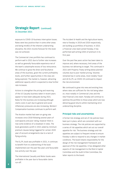exposure to COVID-19 business interruption losses. Rates were less positive than in some other areas and being mindful of the inherent underwriting discipline, the 2021 income forecast for this book was not achieved.

The Commercial Lines portfolio has continued to perform well in 2021 due to further rate increases as well as generally favourable experience net of the team's catastrophe excess of loss reinsurance. We continue to grow the direct and facultative areas of this business, given the current profitability levels, and further opportunities in the class are being explored. The market is, however, attracting additional capacity which is expected to slow further rate increases.

Actions to strengthen the pricing and reserving of the US Casualty business taken in recent years appear to have been adequate during 2021. Rates for this business are increasing although claims costs in part due to general and social inflationary pressures are also increasing. Workers' Compensation business continues to perform well.

The Aviation market had seen on-going rate increases since 2018 following several years of overcapacity and poor rating, however there is now some evidence of a slowdown in rates. The book generated a profit in 2021 aided by minimum premium clauses being triggered for certain 2020 year of account arrangements due to a lack of flying activity.

The EL/PL book was profitable in 2021, it continues to benefit from re-underwriting of the book implemented over the past few years and favourable loss activity over the year.

The International Casualty and Motor books were profitable in the year due to favourable claims run-off.

The Accident & Health and the Agriculture teams, new to Faraday in 2019 and 2020 respectively, are building up portfolios of business. In 2021 a Financial Lines team joined Faraday, it has performed well writing £30m of premium in its first year.

Over the past few years action has been taken to improve and, where necessary, limit areas of the business not delivering to target. This continued in 2021 with Property Treaty writing below planned volumes due to poor market pricing. Volumes remained low in some areas, most notably Travel and UK EL/PL as COVID-19 continued to impact the risk environment.

We continued to grow into new and existing lines where rates are sufficient for the risk being taken on, most notably in Commercial Lines and the new Financial Lines team. Faraday will continue to optimise the portfolio to those areas which are now delivering good returns whilst maintaining strict underwriting discipline.

## **Principal risks and uncertainties**

A formal risk strategy and set of risk policies have been put in place, which are consistent with our business strategy. The risk policies are supported by a series of risk appetites which set out our overall appetite for risk. The business strategy and risk appetites are subject to frequent review to ensure Faraday is able to respond to any changes in market conditions. The board retains responsibility for the design of the risk management framework and approval of the risk appetites. It has delegated other aspects of risk management to the Risk & Capital Committee and the Audit & Risk Committee; the latter reports to the board.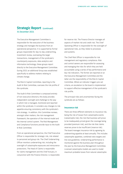The Executive Management Committee is responsible for the execution of the business strategy and manages the business from an operational perspective. It is supported by formal groups responsible for day-to-day underwriting, investment review, overseeing the larger transactions, management of the syndicate's counterparty exposures, data analytics and information technology; these groups report directly to the Executive Management Committee. During 2021 an additional Group was established specifically to address matters relating to climate change.

The Risk & Capital Committee, reporting to the Audit & Risk Committee, oversees the risk profile of the syndicate.

The Audit & Risk Committee is composed entirely of non-executive directors; this body provides independent oversight and challenge to the way in which risk is managed, monitored and reported within the syndicate. It considers any changes to risk appetite ensuring consistency with the syndicate's risk strategy. In addition, this Committee reviews, amongst other matters, the risk management framework, the operation of the internal model and the internal control system. The Risk Management and Compliance functions provide input to the Audit & Risk Committee.

From an operational perspective, the Chief Executive Officer is responsible for strategic risk, risk related to personnel and group risk. The Chief Underwriting Officer monitors underwriting risk, including the oversight of catastrophe exposures and reinsurance protections. The Head of Claims is responsible for claims management and the Chief Actuary, in conjunction with the Finance Director, is responsible

for reserve risk. The Finance Director manages all aspects of market risk and credit risk. The Chief Operating Officer is responsible for the oversight of operational risks, as they relate to processes and systems.

The Chief Risk Officer is responsible for risk management and regulatory compliance. Risk and control owners are responsible for assessing and managing the risks for which they are held accountable using a series of key performance and key risk indicators. The former are reported on at the Executive Management Committee and the latter are the responsibility of the Risk & Capital Committee. Where an indicator triggers pre-set criteria, an escalation to the board is implemented to support effective management of the syndicate's risk profile.

The principal risks and uncertainties facing the syndicate are as follows:

# **Insurance risk**

There are three different elements to insurance risk, being the risk of losses from catastrophe events (catastrophe risk), the risk that business will prove to be inadequately priced given the coverage being provided (premium risk), and the risk that claims reserves prove to be insufficient (reserve risk). The board manages insurance risk by agreeing its underwriting appetite at least annually. This includes catastrophe appetites, combined ratio targets and line size guidelines. Underwriting performance is monitored against the business plan throughout the year by the Executive Management Committee. Licensed catastrophe models are used to model maximum probable losses from natural catastrophe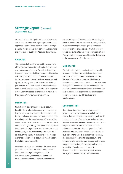exposed business for significant perils in key areas and to monitor exposures against pre-determined appetites. Reserve adequacy is monitored through a regular review of loss development and reserving analyses carried out by the Actuarial department.

# **Credit risk**

This represents the risk of default by one or more of the syndicate's counterparties, be they brokers, coverholders or reinsurers. The risk of default by issuers of investment holdings is captured in market risk. The syndicate conducts business only with brokers and coverholders that have been approved by the security group, which reviews the financial position and other information in respect of these entities on at least an annual basis. A similar process is followed with respect to the use of reinsurers on the syndicate's reinsurance programmes.

# **Market risk**

Market risk relates primarily to the exposures faced by the syndicate in respect of movements in key economic variables such as interest rates and foreign exchange rates and their potential impact on the valuation of the investment portfolio and other balance sheet items, such as claims reserves. These risks are managed through the adoption of a prudent investment strategy with respect to the duration and credit quality of the investment portfolio, as well as through the regular re-balancing of the foreign exchange position and exposures to match closely the liability currency profile.

In relation to investment holdings, the investment group recommends to the board the syndicate's investment strategy, having due regard to investment results, economic conditions and developments in financial markets. Benchmarks

are set each year with reference to this strategy in order to monitor the performance of the syndicate's investment managers. Credit quality and asset concentration parameters are set which properly control the syndicate's exposure to investment risk. The syndicate makes no use of financial derivatives in the management of its risk exposures.

#### **Liquidity risk**

This is the risk that the syndicate will not be able to meet its liabilities as they fall due, because of a shortfall of liquid assets. To mitigate this risk, the level of short-term investment holdings is monitored by the Finance Director and the Executive Management and Risk & Capital Committees. The syndicate's conservative investment guidelines also help to ensure that its portfolio has the necessary liquidity to respond quickly to short-term funding needs.

## **Operational risk**

Operational risk arises from errors caused by people, processes or systems, to include cyber issues, that could lead to losses to the syndicate. It includes the impact from external bodies, such as outsourced service providers and related companies. A specific workstream has now been added to address operational resilience. Operational risk is managed through a combination of robust service level agreements with external service providers, the implementation of detailed procedures and controls in all areas of its business and a structured programme of testing of processes and systems by the Risk, Compliance and Internal Audit departments. This is overseen by the Executive Management and Risk & Capital Committees.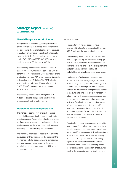# **Strategic Report** (continued)

31 December 2021

# **Financial key performance indicators**

The syndicate's underwriting strategy is focused on the profitability of business, a key performance indicator being the level of absolute profit achieved. In 2021, which saw several significant catastrophe events and COVID-19, the syndicate generated a profit of £51,048,000 (2020: £49,930,000) at a combined ratio of 86.5% (2020: 93.7%).

The other key financial performance indicator is the investment return achieved compared with the benchmark set by the board. Given the nature of the syndicate's business, 70% of its investment portfolio is denominated in US dollars. The 2021 calendar year investment return on this portfolio was 0% (2020: 2.54%), compared with a benchmark of -0.56% (2020: 2.58%).

The managing agent is establishing metrics in relation to climate change being mindful of the diverse areas that this matter covers.

## **Key stakeholders and responsibilities**

The managing agent is fully aware of on-going responsibilities. Accordingly, attention is given to key stakeholders. These include clients, regulators, staff employed by the group, third party suppliers, local communities, the environment and Berkshire Hathaway Inc. the ultimate parent company.

The managing agent acts in good faith to promote the success of the syndicate for the benefit of the member as a whole. Decision making is made in an informed manner, having regard to the impact on stakeholders and matters set out in s.172 of the Companies Act 2006.

Of particular note:

- The directors, in making decisions have considered the long term prospects of Syndicate 435. A review of the business is given above.
- The managing agent takes pride in all business relationships. The organisation looks to engage with clients, outsourcers, professional advisers, staff and other stakeholders in a straightforward and professional manner. Treating all stakeholders fairly is of paramount importance.
- Employees are fundamental to the success of the business. The managing agent strives to make Faraday an enjoyable and rewarding place to work. Regular meetings are held to update staff on the performance and operational aspects of the syndicate. The open style of management adopted by the directors encourages employees to raise any issues and appropriate steps can be taken. The directors regard this style as one of the core strengths; it assists with staff retention. Training and development of staff is another important factor of the board's focus; a skilled and content workforce is crucial to the success of the business.
- The directors monitor developments in the wider business and financial arenas. In particular these include regulatory requirements and guidelines as well as legal frameworks and Risk and Compliance aspects of the (re)insurance industry. Faraday would adapt to any revisions to these having regard to our diverse stakeholders. Market conditions underpin the ever-changing needs of key stakeholders. The directors endeavour to react to the circumstances in a timely manner.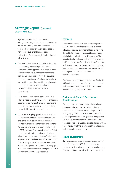High business standards are promoted throughout the organisation. The board revisits the overall strategy at a formal meeting each year. Work continues on an on-going basis to increase the quality of business being underwritten. As necessary, difficult decisions will be taken.

- The robust client focus assists with maintaining and improving relationships with clients, outsourcers and suppliers. Every effort is made by the directors, following recommendations from the Underwriters, to meet the changing needs of our customers. Products are regularly reviewed to ensure they meet the requirements and are acceptable to all parties in the distribution chain; revisions are made as necessary.
- The directors value market perception. Every effort is made to meet the wide range of financial responsibilities. Payment terms will be met and enquiries are always made where service levels are queried by any of the stakeholders.
- Finally, the managing agent is conscious of its environmental and social responsibilities. Care is taken to minimise any adverse impact the business might have on the wider environment. Working from home was in operation for much of 2021, following Government guidance. Whilst a staggered return to the office was in place when possible last year and the office has now reopened, there has been a significant reduction in the use of general office consumables since March 2020. Specific attention is now being given to the broad reach of climate change from both a business and operational perspective.

# **COVID-19**

The directors continue to consider the impact of COVID-19 on the syndicate's financial strength, taking into account a number of factors including the ability to access and transact business being mindful of our robust underwriting criteria. The organisation has adapted well to the changes and staff are operating efficiently whether office based or following Government advice and working from home. Management maintains contact with staff with regular updates on all business and operational matters.

The managing agent has concluded that Syndicate 435 continues to operate effectively and does not anticipate any change to the ability to continue operating on a going concern basis.

# **Environment, Social & Governance: Climate change**

The impact on the business from climate change continues to be assessed; all relevant data is considered and action taken as appropriate. The managing agent is mindful of its corporate and social responsibilities in the global market place in which the syndicate is active. Specific resource has been dedicated to evaluating climate change with an on-going review of the risk factors from a financial and an operational perspective.

# **Future developments**

Rate increases continue to be seen across various lines of business in 2022. There are on-going challenges with surplus capacity in particular areas. Faraday continues to work with Lloyd's to ensure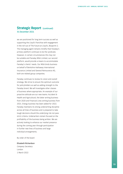we are positioned for long term success as well as supporting the Lloyd's franchise with engagement in the roll-out of The Future at Lloyd's, Blueprint 2. The managing agent remains mindful that Faraday's primary platform continues to be the syndicate. However, in certain circumstances this may not be suitable and Faraday MGA Limited, our second platform, would provide a means to accommodate Faraday's clients' needs. Our MGA binds business on behalf of Berkshire Hathaway International Insurance Limited and General Reinsurance AG, both are related group companies.

Faraday continues to review its vision and overall strategy. We strive to ensure the optimum outcome for policyholders as well as adding strength to the Faraday brand. We will investigate other classes of business where appropriate. An example of our proactive attitude are our new teams: Accident & Health and Agricultural, the latter writing business from 2020 and Financial Lines writing business from 2021. Energy business has been added for 2022. Faraday maintains its strong underwriting discipline across all lines of business and is prepared to take tough decisions should the underlying risk not pass strict criteria. Underwriters remain focused on the profitability of the business being written. We are actively looking to enhance our market presence during the coming year through participation in further new lines of business and large individual arrangements.

By order of the board

## Elisabeth Richardson

*Company Secretary* London 1 March 2022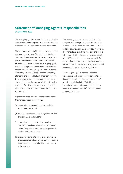# **Statement of Managing Agent's Responsibilities**

31 December 2021

The managing agent is responsible for preparing the annual report and the syndicate financial statements in accordance with applicable law and regulations.

The Insurance Accounts Directive (Lloyd's syndicate and Aggregate Accounts) Regulations 2008 ('the 2008 Regulations') require the managing agent to prepare syndicate financial statements for each financial year. Under that law the managing agent has elected to prepare the financial statements in accordance with United Kingdom Generally Accepted Accounting Practice (United Kingdom Accounting Standards and applicable law). Under company law the managing agent must not approve the financial statements unless they are satisfied that they give a true and fair view of the state of affairs of the syndicate and of the profit or loss of the syndicate for that period.

In preparing these syndicate financial statements, the managing agent is required to:

- (a) select suitable accounting policies and then apply them consistently;
- (b) make judgments and accounting estimates that are reasonable and prudent;
- (c) state whether applicable UK Accounting Standards have been followed, subject to any material departures disclosed and explained in the financial statements; and
- (d) prepare the syndicate financial statements on the going concern basis unless it is inappropriate to presume that the syndicate will continue to write business.

The managing agent is responsible for keeping adequate accounting records that are sufficient to show and explain the syndicate's transactions and disclose with reasonable accuracy at any time the financial position of the syndicate and enable it to ensure that the financial statements comply with 2008 Regulations. It is also responsible for safeguarding the assets of the syndicate and hence for taking reasonable steps for the prevention and detection of fraud and other irregularities.

The managing agent is responsible for the maintenance and integrity of the corporate and financial information included on the business' website. Legislation in the United Kingdom governing the preparation and dissemination of financial statements may differ from legislation in other jurisdictions.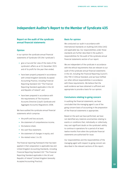# **Independent Auditor's Report to the Member of Syndicate 435**

# **Report on the audit of the syndicate annual financial statements**

## **Opinion**

In our opinion the syndicate annual financial statements of Syndicate 435 (the 'syndicate'):

- give a true and fair view of the state of the syndicate's affairs as at 31 December 2021 and of its profit for the year then ended;
- have been properly prepared in accordance with United Kingdom Generally Accepted Accounting Practice, including Financial Reporting Standard 102 "The Financial Reporting Standard applicable in the UK and Republic of Ireland"; and
- have been prepared in accordance with the requirements of The Insurance Accounts Directive (Lloyd's Syndicate and Aggregate Accounts) Regulations 2008.

We have audited the syndicate annual financial statements which comprise:

- the profit and loss account:
- the statement of comprehensive income;
- the balance sheet:
- the cash flow statement:
- the statement of changes in equity; and
- the related notes 1 to 20.

The financial reporting framework that has been applied in their preparation is applicable law and United Kingdom Accounting Standards, including Financial Reporting Standard 102 "The Financial Reporting Standard applicable in the UK and Republic of Ireland" (United Kingdom Generally Accepted Accounting Practice).

# **Basis for opinion**

We conducted our audit in accordance with International Standards on Auditing (UK) (ISAs (UK)) and applicable law. Our responsibilities under those standards are further described in the auditor's responsibilities for the audit of the syndicate annual financial statements section of our report.

We are independent of the syndicate in accordance with the ethical requirements that are relevant to our audit of the syndicate annual financial statements in the UK, including the Financial Reporting Council's (the 'FRC's') Ethical Standard, and we have fulfilled our other ethical responsibilities in accordance with these requirements. We believe that the audit evidence we have obtained is sufficient and appropriate to provide a basis for our opinion.

# **Conclusions relating to going concern**

In auditing the financial statements, we have concluded that the managing agent's use of the going concern basis of accounting in the preparation of the financial statements is appropriate.

Based on the work we have performed, we have not identified any material uncertainties relating to events or conditions that, individually or collectively, may cast significant doubt on the syndicate's ability to continue in operations for a period of at least twelve months from when the syndicate financial statements are authorised for issue.

Our responsibilities and the responsibilities of the managing agent with respect to going concern are described in the relevant sections of this report.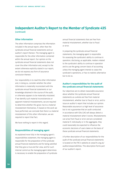# **Other information**

The other information comprises the information included in the annual report, other than the syndicate annual financial statements and our auditor's report thereon. The managing agent is responsible for the other information contained within the annual report. Our opinion on the syndicate annual financial statements does not cover the other information and, except to the extent otherwise explicitly stated in our report, we do not express any form of assurance conclusion thereon.

Our responsibility is to read the other information and, in doing so, consider whether the other information is materially inconsistent with the syndicate annual financial statements or our knowledge obtained in the course of the audit, or otherwise appears to be materially misstated. If we identify such material inconsistencies or apparent material misstatements, we are required to determine whether this gives rise to a material misstatement themselves. If, based on the work we have performed, we conclude that there is a material misstatement of this other information, we are required to report that fact.

We have nothing to report in this regard.

# **Responsibilities of managing agent**

As explained more fully in the managing agent's responsibilities statement, the managing agent is responsible for the preparation of the syndicate annual financial statements and for being satisfied that they give a true and fair view, and for such internal control as the managing agent determines is necessary to enable the preparation of syndicate

annual financial statements that are free from material misstatement, whether due to fraud or error.

In preparing the syndicate annual financial statements, the managing agent is responsible for assessing the syndicate's ability to continue in operation, disclosing, as applicable, matters related to the syndicate's ability to continue in operation and to use the going concern basis of accounting unless the managing agent intends to cease the syndicate's operations, or has no realistic alternative but to do so.

# **Auditor's responsibilities for the audit of the syndicate annual financial statements**

Our objectives are to obtain reasonable assurance about whether the syndicate annual financial statements as a whole are free from material misstatement, whether due to fraud or error, and to issue an auditor's report that includes our opinion. Reasonable assurance is a high level of assurance but is not a guarantee that an audit conducted in accordance with ISAs (UK) will always detect a material misstatement when it exists. Misstatements can arise from fraud or error and are considered material if, individually or in the aggregate, they could reasonably be expected to influence the economic decisions of users taken on the basis of these syndicate annual financial statements.

A further description of our responsibilities for the audit of the syndicate annual financial statements is located on the FRC's website at: www.frc.org.uk/ auditorsresponsibilities. This description forms part of our auditor's report.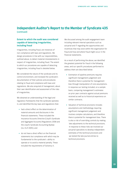# **Extent to which the audit was considered capable of detecting irregularities, including fraud**

Irregularities, including fraud, are instances of non-compliance with laws and regulations. We design procedures in line with our responsibilities, outlined above, to detect material misstatements in respect of irregularities, including fraud. The extent to which our procedures are capable of detecting irregularities, including fraud is detailed below.

We considered the nature of the syndicate and its control environment, and reviewed the syndicate's documentation of their policies and procedures relating to fraud and compliance with laws and regulations. We also enquired of management, about their own identification and assessment of the risks of irregularities.

We obtained an understanding of the legal and regulatory frameworks that the syndicate operates in, and identified the key laws and regulations that:

- had a direct effect on the determination of material amounts and disclosures in the financial statements. These included the Insurance Accounts Directive (Lloyd's Syndicate and Aggregate Accounts) Regulations 2008 and the Lloyd's Syndicate Accounting Byelaw (no. 8 of 2005); and
- do not have a direct effect on the financial statements but compliance with which may be fundamental to the syndicate's ability to operate or to avoid a material penalty. These included the requirements of Solvency II.

We discussed among the audit engagement team including relevant internal specialists such as actuarial and IT regarding the opportunities and incentives that may exist within the organisation for fraud and how and where fraud might occur in the financial statements.

As a result of performing the above, we identified the greatest potential for fraud in the following areas, and our specific procedures performed to address them are described below:

- Estimation of pipeline premiums requires significant management judgement and therefore there is potential for management bias through manipulation of core assumptions. In response our testing included, on a sample basis, comparing management's estimates on prior year contracts against actual premiums received as well as to historical experience on similar contracts.
- Valuation of technical provisions includes assumptions and methodology requiring significant management judgement and involves complex calculations, and therefore there is potential for management bias. There is also a risk of overriding controls by making late adjustments to the technical provisions. In response to these risks we involved our actuarial specialists to develop independent estimates of the technical provisions and we tested the late journal entries to technical provisions.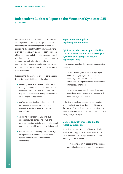In common with all audits under ISAs (UK), we are also required to perform specific procedures to respond to the risk of management override. In addressing the risk of fraud through management override of controls, we tested the appropriateness of journal entries and other adjustments; assessed whether the judgements made in making accounting estimates are indicative of a potential bias; and evaluated the business rationale of any significant transactions that are unusual or outside the normal course of business.

In addition to the above, our procedures to respond to the risks identified included the following:

- reviewing financial statement disclosures by testing to supporting documentation to assess compliance with provisions of relevant laws and regulations described as having a direct effect on the financial statements;
- performing analytical procedures to identify any unusual or unexpected relationships that may indicate risks of material misstatement due to fraud;
- enquiring of management, internal audit and legal counsel concerning actual and potential litigation and claims, and instances of non-compliance with laws and regulations; and
- reading minutes of meetings of those charged with governance, reviewing internal audit reports and reviewing correspondence with Lloyd's.

# **Report on other legal and regulatory requirements**

# **Opinions on other matters prescribed by The Insurance Accounts Directive (Lloyd's Syndicate and Aggregate Accounts) Regulations 2008**

In our opinion, based on the work undertaken in the course of the audit:

- the information given in the strategic report and the managing agent's report for the financial year for which the financial statements are prepared is consistent with the financial statements; and
- the strategic report and the managing agent's report have been prepared in accordance with applicable legal requirements.

In the light of the knowledge and understanding of the syndicate and its environment obtained in the course of the audit, we have not identified any material misstatements in the strategic report or the managing agent's report.

# **Matters on which we are required to report by exception**

Under The Insurance Accounts Directive (Lloyd's Syndicate and Aggregate Accounts) Regulations 2008 we are required to report in respect of the following matters if, in our opinion:

• the managing agent in respect of the syndicate has not kept adequate accounting records; or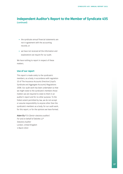- the syndicate annual financial statements are not in agreement with the accounting records; or
- we have not received all the information and explanations we require for our audit.

We have nothing to report in respect of these matters.

# **Use of our report**

This report is made solely to the syndicate's members, as a body, in accordance with regulation 10 of The Insurance Accounts Directive (Lloyd's Syndicate and Aggregate Accounts) Regulations 2008. Our audit work has been undertaken so that we might state to the syndicate's members those matters we are required to state to them in an auditor's report and for no other purpose. To the fullest extent permitted by law, we do not accept or assume responsibility to anyone other than the syndicate's members as a body, for our audit work, for this report, or for the opinions we have formed.

Adam Ely FCA *(Senior statutory auditor) For and on behalf of Deloitte LLP Statutory Auditor* London, United Kingdom 1 March 2022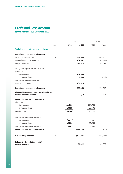# **Profit and Loss Account**

for the year ended 31 December 2021

| Note<br>4 | £'000                                        | £'000                             | £'000     | £'000                             |
|-----------|----------------------------------------------|-----------------------------------|-----------|-----------------------------------|
|           |                                              |                                   |           |                                   |
|           |                                              |                                   |           |                                   |
|           |                                              |                                   |           |                                   |
|           |                                              | 449,639                           |           | 404,358                           |
|           |                                              | (37, 967)                         |           | (49, 347)                         |
|           |                                              | 411,672                           |           | 355,011                           |
|           |                                              |                                   |           |                                   |
|           |                                              |                                   |           |                                   |
|           |                                              | (32, 844)                         |           | 3,808                             |
|           |                                              | 1,530                             |           | (272)                             |
|           |                                              |                                   |           |                                   |
|           |                                              | (31, 314)                         |           | 3,536                             |
|           |                                              | 380,358                           |           | 358,547                           |
|           |                                              |                                   |           |                                   |
|           |                                              |                                   |           | 24,221                            |
|           |                                              |                                   |           |                                   |
|           |                                              |                                   |           |                                   |
|           |                                              |                                   |           |                                   |
|           |                                              |                                   |           |                                   |
|           |                                              |                                   |           |                                   |
|           |                                              |                                   |           |                                   |
|           | (8,411)                                      |                                   | 17,348    |                                   |
|           | (15,991)                                     |                                   | (37, 293) |                                   |
|           | (24, 402)                                    |                                   | (19, 945) |                                   |
|           |                                              | (219, 786)                        |           | (221,100)                         |
| 4.6       |                                              | (109, 231)                        |           | (114, 971)                        |
|           |                                              | 51,322                            |           | 46,697                            |
|           | Allocated investment return transferred from | (214, 206)<br>18,822<br>(195,384) | (19)      | (229,753)<br>28,598<br>(201, 155) |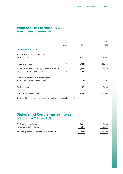# **Profit and Loss Account** (continued)

for the year ended 31 December 2021

|                                                                                         |        | 2021             | 2020           |
|-----------------------------------------------------------------------------------------|--------|------------------|----------------|
|                                                                                         | Note   | £'000            | £'000          |
| <b>Non-technical account</b>                                                            |        |                  |                |
| <b>Balance on the technical account -</b><br>general income                             |        | 51,322           | 46,697         |
| Investment income                                                                       | 9      | 10,239           | 19,356         |
| Movement in unrealised (losses)/gains on investments<br>Investment expenses and charges | 9<br>9 | (9,706)<br>(552) | 5,343<br>(478) |
| Allocated investment return transferred to<br>the tehnical account - general business   |        | 19               | (24, 221)      |
| Foreign exchange                                                                        |        | (274)            | 3,233          |
| Profit for the financial year                                                           |        | 51,048           | 49,930         |

The result for the financial year was derived solely from continuing operations.

# **Statement of Comprehensive Income**

for the year ended 31 December 2021

| Profit for the financial year                       | 51,048 | 49.930  |
|-----------------------------------------------------|--------|---------|
| Foreign currency translation                        | 1.741  | (3,740) |
| Total recognised gains since the last annual report | 52,789 | 46.190  |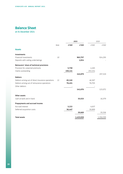# **Balance Sheet**

at 31 December 2021

|                                                    |      |         | 2021      |         | 2020      |
|----------------------------------------------------|------|---------|-----------|---------|-----------|
|                                                    | Note | £'000   | £'000     | £'000   | £'000     |
| <b>Assets</b>                                      |      |         |           |         |           |
| Investments                                        |      |         |           |         |           |
| Financial investments                              | 10   |         | 963,757   |         | 924,293   |
| Deposits with ceding undertakings                  |      |         | 1,824     |         |           |
| Reinsurers' share of technical provisions          |      |         |           |         |           |
| Provision for unearned premiums                    |      | 5,738   |           | 4,165   |           |
| Claims outstanding                                 |      | 238,141 |           | 253,154 |           |
|                                                    |      |         | 243,879   |         | 257,319   |
| <b>Debtors</b>                                     |      |         |           |         |           |
| Debtors arising out of direct insurance operations | 11   | 65,245  |           | 46,367  |           |
| Debtors arising out of reinsurance operations      |      | 76,431  |           | 76,705  |           |
| Other debtors                                      |      |         |           |         |           |
|                                                    |      |         | 141,676   |         | 123,072   |
| Other assets                                       |      |         |           |         |           |
| Cash at bank and in hand                           |      |         | 33,023    |         | 16,379    |
| <b>Prepayments and accrued income</b>              |      |         |           |         |           |
| Accrued interest                                   |      | 3,222   |           | 4,637   |           |
| Deferred acquisition costs                         |      | 36,447  |           | 30,899  |           |
|                                                    |      |         | 39,669    |         | 35,536    |
| <b>Total assets</b>                                |      |         | 1,423,828 |         | 1,356,599 |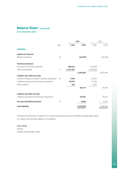# **Balance Sheet** (continued)

at 31 December 2021

|                                                      |      |           | 2021      |           | 2020      |
|------------------------------------------------------|------|-----------|-----------|-----------|-----------|
|                                                      | Note | £'000     | £'000     | £'000     | £'000     |
| <b>Liabilities</b>                                   |      |           |           |           |           |
| <b>Capital and reserves</b>                          |      |           |           |           |           |
| Member's balances                                    | 19   |           | (45, 875) |           | (61, 655) |
| <b>Technical provisions</b>                          |      |           |           |           |           |
| Provision for unearned premiums                      |      | 188,132   |           | 154,199   |           |
| Claims outstanding                                   | 5    | 1,217,437 |           | 1,203,196 |           |
|                                                      |      |           | 1,405,569 |           | 1,357,395 |
| Creditors due within one year                        |      |           |           |           |           |
| Creditors arising out of direct insurance operations | 13   | 7,946     |           | 10,735    |           |
| Creditors arising out of reinsurance operations      |      | 30,522    |           | 25,193    |           |
| Other creditors                                      |      | 249       |           | 1,547     |           |
|                                                      |      |           | 38,717    |           | 37,475    |
| Creditors due after one year                         |      |           |           |           |           |
| Creditors arising out of reinsurance operations      |      |           | 20,351    |           | 20,137    |
| <b>Accruals and deferred income</b>                  | 17   |           | 5,066     |           | 3,247     |
| <b>Total liabilities</b>                             |      |           | 1,423,828 |           | 1,356,599 |

The financial statements on pages 18 to 39 were approved by the board of Faraday Underwriting Limited on 1 March 2022 and were signed on its behalf by

# Kevin Harker

*Director Faraday Underwriting Limited*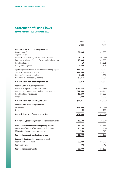# **Statement of Cash Flows**

for the year ended 31 December 2021

|                                                             | 2021       | 2020       |
|-------------------------------------------------------------|------------|------------|
|                                                             | £'000      | £'000      |
| Net cash flows from operating activities                    |            |            |
| Operating profit<br>Adjustment for:                         | 51,048     | 49,930     |
| Increase/(decrease) in gross technical provisions           | 48,174     | (46,067)   |
| Decrease in reinsurers' share of gross technical provisions | 13,440     | 42,596     |
| Investment return                                           | 19         | (24, 221)  |
| Foreign exchange loss                                       | 1,844      | 14,701     |
| Operating cash flow before movement in working capital      | 114,525    | 36,939     |
| (Increase)/decrease in debtors                              | (18,604)   | 4,440      |
| Increase/(decrease) in creditors                            | 1,456      | (9,074)    |
| Movement in other assets/liabilities                        | (2,314)    | 7,367      |
| Net cash flows from operating activities                    | 95,063     | 39,672     |
| Cash flows from investing activities                        |            |            |
| Purchase of equity and debt instruments                     | (431, 236) | (377, 411) |
| Proceeds from sale of equity and debt instruments           | 377,058    | 344,275    |
| Investment income received                                  | 10,239     | 19,356     |
| Other                                                       | 2,023      | 1,375      |
| Net cash flows from investing activities                    | (41, 916)  | (12,405)   |
| Cash flows from financing activities                        |            |            |
| Distribution                                                | (37,068)   | (62, 691)  |
| Other                                                       | 59         | 130        |
| Net cash flows from financing activities                    | (37,009)   | (62, 561)  |
| Net increase/(decrease) in cash and cash equivalents        | 16,138     | (35, 294)  |
|                                                             |            |            |
| Cash and cash equivalents at beginning of year              | 18,125     | 51,773     |
| Net increase/(decrease) in cash and cash equivalents        | 16,138     | (35, 294)  |
| Effect of foreign exchange rate changes                     | (264)      | 1,646      |
| Cash and cash equivalents at end of year                    | 33,999     | 18,125     |
| Reconciliation to cash at bank and in hand                  |            |            |
| Cash at bank and in hand                                    | 33,023     | 16,379     |
| Cash equivalents                                            | 976        | 1,746      |
| <b>Cash and cash equivalents</b>                            | 33,999     | 18,125     |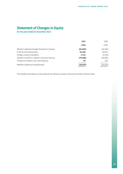# **Statement of Changes in Equity**

for the year ended 31 December 2021

|                                                 | 2021      | 2020      |
|-------------------------------------------------|-----------|-----------|
|                                                 | £'000     | £'000     |
| Member's balances brought forward at 1 January  | (61, 655) | (45, 284) |
| Profit for the financial year                   | 51,048    | 49,930    |
| Foreign currency translation                    | 1,741     | (3,740)   |
| Payment of profit to member's personal reserves | (37,068)  | (62, 691) |
| Increase in member's non-cash balances          | 59        | 130       |
| Member's balances carried forward               | (45, 875) | (61, 655) |

The member participates on the syndicate by reference to years of account and their ultimate result.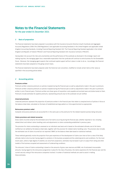# **Notes to the Financial Statements**

for the year ended 31 December 2021

#### *1* **Basis of preparation**

The financial statements have been prepared in accordance with the Insurance Accounts Directive (Lloyd's Syndicate and Aggregate Accounts) Regulations 2008 ('the 2008 Regulations') and applicable Accounting Standards in the United Kingdom and applicable United Kingdom Accounting Standards, including Financial Reporting Standard 102: The Financial Reporting Standard applicable in the United Kingdom and Republic of Ireland ('FRS102') and Financial Reporting Standard 103: Insurance Contracts ('FRS103').

Having taken into account the risks and uncertainties and the performance of the syndicate as disclosed in the strategic report and making inquiries, the managing agent has a reasonable expectation that the syndicate will continue to write business for the foreseeable future. Moreover, the managing agent expects that continued capital support will be in place in order to do so. Accordingly, the financial statements have been prepared on the going concern basis.

The financial statements have been prepared under the historical cost convention, modified to include certain items at fair value as specified in the accounting polices below.

#### *2* **Accounting policies**

#### **Premiums written**

Premiums written comprise premiums on policies incepted during the financial year as well as adjustments made in the year to premiums Premiums written comprise premiums on policies incepted during the financial year as well as adjustments made in the year to premiums written in prior financial years. Premiums written are shown gross of acquisition costs payable and exclude taxes and duties levied on them. Premiums include estimates for pipeline premiums, representing amounts due to the syndicate not yet notified.

#### **Unearned premiums**

Unearned premiums represent the proportion of premiums written in the financial year that relate to unexpired terms of policies in force at the balance sheet date, calculated on the basis of established earnings patterns or time apportionment as appropriate.

#### **Reinsurance premium ceded**

Outwards reinsurance premiums are accounted for in the same year as the premiums for the related inwards business being reinsured.

#### **Claims provisions and related recoveries**

Gross claims incurred comprise the estimated cost of all claims occurring during the financial year, whether reported or not, including related direct and indirect claims handling costs and adjustments to claims outstanding established in previous years.

The provision for claims outstanding is assessed on an individual case basis and is based on the estimated ultimate cost of all claims notified but not settled by the balance sheet date, together with the provision for related claims handling costs. The provision also includes the estimated cost of claims incurred but not reported ('IBNR') at the balance sheet date based on statistical methods.

These methods generally involve the projection from past experience of the development of claims over time to form a view of the likely ultimate claims to be incurred, having regard to variations in the business accepted and the underlying terms and conditions. For the most recent years, where a high degree of volatility can arise from projections, estimates may be based in part on output from rating and other models of the business accepted and assessments of underwriting conditions.

The reinsurers' share of claims outstanding is based on the amounts of gross case reserves and IBNR, net of estimated irrecoverable amounts, having regard to the reinsurance programme in place for the class of business, the claims experience for the financial year and the current security rating of the reinsurance companies involved. A number of statistical methods are used to assist in making these estimates.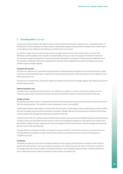#### *2* **Accounting policies** (continued)

The two most critical assumptions with regard to claims provisions are firstly that the past is, in general terms, a reasonable predictor of the likely level of claims development but subject always to unpredictable changes and secondly that the rating and other models used for current business are fair reflections of the likely level of ultimate claims to be incurred.

The directors consider that the provisions for gross claims and related reinsurance recoveries are fairly stated on the basis of the information currently available to them. However, the ultimate liability will vary as a result of subsequent information and events and this may result in significant adjustments to the amounts provided. Adjustments to the amounts of claims provisions established in prior financial years are reflected in the financial statements for the period in which the adjustments are made. The methods used, and the estimates made, are reviewed regularly.

#### **Unexpired risks provision**

A provision for unexpired risks is made where anticipated claims and related expenses arising after the end of the financial year in respect of contracts concluded before that date, are expected to exceed the unearned premiums under these contracts, after the deduction of any deferred acquisition costs.

The provision for unexpired risks is calculated by reference to classes of business which are managed together, after taking into account the relevant investment return.

#### **Deferred acquisition costs**

Acquisition costs, comprising commission and other costs related to the acquisition of insurance and reinsurance policies as well as reinsurance polices ceded, are deferred to the extent that they are attributable to premiums unearned at the balance sheet date.

#### **Foreign currencies**

The syndicate's functional currency is considered to be US dollar (USD) because that is the currency of the primary economic environment in which the syndicate operates. The syndicate's chosen presentational currency is sterling (GBP).

Underwriting transactions denominated in currencies other than USD, GBP or Canadian dollars (CAD) are predominantly converted to GBP at the rate of exchange ruling at the date the transaction is processed. Thereafter, GBP and CAD transactions are converted to the functional currency using the USD exchange rates prevailing at the respective month end.

Under FRS 102 and FRS 103, monetary assets and liabilities (which include unearned premiums and deferred acquisition costs) denominated in foreign currencies are retranslated into the functional currency at the exchange rate ruling on the reporting date. Non-monetary items denominated in foreign currencies, measured at fair value, are translated into the functional currency using the exchange rate ruling at the date when the fair value was determined.

Exchange differences arising from translation to functional currency are recorded in the Profit and Loss Account, non-technical account. Exchange differences arising from translation from functional currency to presentational currency are shown in the Statement of Comprehensive Income.

#### **Investments**

Investments are stated at current value at the balance sheet date. For this purpose, listed investments are stated at market value and deposits with credit institutions and overseas deposits are stated at cost. Unlisted investments for which a market exists are stated at the average price at which they are traded on the balance sheet date or the last trading day before that date. Unlisted investments for which a market does not exist, where the investment is held to maturity, are stated at cost.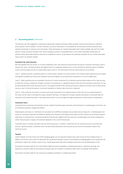#### *2* **Accounting policies** (continued)

The directors use their judgement in selecting an appropriate valuation technique. Where possible, financial instruments are marked at prices quoted in active markets. In certain instances, such price information is not available for all instruments and the syndicate uses valuation techniques to measure such instruments. These techniques use 'market observable inputs' where available, derived from similar assets in similar and active markets, from recent transaction prices for comparable items or from other observable market data. For positions where observable reference data are not available for some or all parameters the syndicate estimates the non-market observable inputs used in its valuation models.

#### **Investment fair value hierarchy**

We have adopted FRS 102 section 11.27 which establishes a fair value hierarchy that prioritises the inputs to valuation techniques used to measure fair value. The hierarchy gives the highest priority to unadjusted quoted prices in active markets for identical assets or liabilities (Level 1) and the lowest priority to unobservable inputs (Level 3). The three levels of the fair value hierarchy are as follows:

Level 1 - Quoted prices for an identical asset in an active market. Quoted in an active market in this context means quoted prices are readily and regularly available and those prices represent actual and regularly occurring market transactions on an arm's length basis.

Level 2 - When quoted prices are unavailable, the price of a recent transaction for an identical asset provides evidence of fair value as long as there has not been a significant change in economic circumstances or a significant lapse of time since the transaction took place. If it can be demonstrated that the last transaction price is not a good estimate of fair value (e.g. because it reflects the amount that an entity would receive or pay in a forced transaction, involuntary liquidation or distress sale), that price is adjusted.

Level 3 - If the market for the asset is not active and recent transactions of an identical asset on their own are not a good estimate of fair value, the fair value is estimated by using a valuation technique. The objective of using a valuation technique is to estimate what the transaction price would have been on the measurement date in an arm's length exchange motivated by normal business considerations.

#### **Investment return**

Investment return comprises all investment income, realised investment gains and losses and movements in unrealised gains and losses, net of investment expenses, charges and interest.

Realised gains and losses on investments are calculated as the difference between sale proceeds and purchase price. Unrealised gains and losses on investments represent the difference between the valuation at the balance sheet date and their valuation at the previous balance sheet date, or purchase price, if acquired during the financial year, together with the reversal of unrealised gains and losses recognised in earlier financial years in respect of investment disposals in the current financial year.

Investment return is initially recorded in the non-technical account. A transfer is made from the non-technical account to the technical account - general business. Investment return has been wholly allocated to the technical account since all investments relate to the technical account.

#### **Taxation**

Under Schedule 19 of the Finance Act 1993 managing agents are not required to deduct basic rate income tax from trading income. In addition, all UK basic rate income tax deducted from syndicate investment income is recoverable by managing agents and consequently the distribution made to the member is gross of tax. Capital appreciation falls within trading income and is also distributed gross of tax.

No provision has been made for any United States Federal Income Tax payable on underwriting results or investment earnings. Any payments on account made by the syndicate during the year are included in the balance sheet under the heading 'Other debtors'.

No provision has been made for any overseas tax payable by members on underwriting results.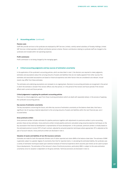#### *2* **Accounting policies** (continued)

#### **Pension costs**

Staff who provide services to the syndicate are employed by GRF Services Limited, a wholly owned subsidiary of Faraday Holdings Limited. GRF Services Limited operates a defined contribution pension scheme. Pension contributions relating to syndicate staff are charged to the syndicate and included within net operating expenses.

#### **Profit commission**

Profit commission is not being charged by the managing agent.

#### *3* **Critical accounting judgments and key sources of estimation uncertainty**

In the application of the syndicate's accounting policies, which are described in note 2, the directors are required to make judgments, estimates and assumptions about the carrying amounts of assets and liabilities that are not readily apparent from other sources.The estimates and associated assumptions are based on historical experience and other factors that are considered to be relevant. Actual results may differ from these estimates.

The estimates and underlying assumptions are reviewed on an ongoing basis. Revisions to accounting estimates are recognised in the period in which the estimate is revised if the revision affects only that period, or in the period of the revision and future periods if the revision affects both current and future periods.

#### **Critical judgements in applying the syndicate's accounting policies**

There are no critical judgements, apart from those involving estimations (which are dealt with separately below), in the process of applying the syndicate's accounting policies.

#### **Key sources of estimation uncertainty**

The key assumptions concerning the future, and other key sources of estimation uncertainty at the balance sheet date, that have a significant risk of causing a material adjustment to the carrying amounts of assets and liabilities within the next financial year, are d iscussed below.

#### **Gross premiums written**

Gross premiums written includes estimates for pipeline premiums together with adjustments to premiums written in prior accounting periods; these are key estimates. Gross premiums written include pipeline premiums calculated using actuarial projection techniques on the key assumption that historical development is representative of future development. In the syndicate, premiums written is initially based on the estimated premium income ('EPI') of each contract, adjusted by actuarial projection techniques where appropriate. EPI is adjusted as the year of account matures. Gross premiums written are disclosed in note 4.

#### **Valuation of assets and liabilities of non-life insurance contracts**

Estimates are made for both the expected ultimate cost of claims reported and claims IBNR at the balance sheet date. The estimate of IBNR is generally subject to a greater degree of uncertainty than that for reported claims. In calculating the estimated liability, the syndicate uses a variety of estimation techniques based upon statistical analyses of historical experience which assumes past trends can be used to project future developments. The estimation of the reinsurer's share of technical provisions, particularly IBNR, is subject to the same estimation uncertainty since its valuation is dependent on the gross estimate. Technical provisions are disclosed in note 12.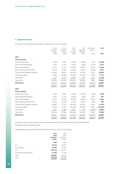# *4* **Segmental analysis**

An analysis of the underwriting result before investment return is set out below:

|                                   | Gross<br>premiums<br>written | Gross<br>premiums<br>earned | Gross<br>claims<br>incurred | Net<br>operating<br>expenses | Reinsurance<br>balance | Total     |
|-----------------------------------|------------------------------|-----------------------------|-----------------------------|------------------------------|------------------------|-----------|
|                                   | £'000                        | £'000                       | £'000                       | £'000                        | £'000                  | £'000     |
| 2021                              |                              |                             |                             |                              |                        |           |
| <b>Direct insurance</b>           |                              |                             |                             |                              |                        |           |
| Accident and Health               | 3,158                        | 5,946                       | (5,097)                     | (2,666)                      | 159                    | (1,658)   |
| Motor (third party liability)     | 1,767                        | 2,853                       | 1,654                       | (586)                        | (2,371)                | 1,550     |
| Motor (other classes)             | 25,247                       | 21,110                      | (12,077)                    | (8, 164)                     | (2,414)                | (1, 545)  |
| Marine, aviation and transport    | 14,178                       | 13,409                      | (8,035)                     | (3,103)                      | (1,196)                | 1,075     |
| Fire and other damage to property | 114,795                      | 98,641                      | (60, 220)                   | (21, 341)                    | 9,525                  | 26,605    |
| Third party liability             | 71,285                       | 60,558                      | (29, 343)                   | (21, 979)                    | (3,461)                | 5,775     |
| Other direct                      | 3,505                        | 3,643                       | (5,893)                     | (817)                        | 1,649                  | (1,418)   |
| Total direct                      | 233,935                      | 206,160                     | (119,011)                   | (58, 656)                    | 1,891                  | 30,384    |
| Reinsurance                       | 215,704                      | 210,635                     | (103,606)                   | (50, 575)                    | (35, 497)              | 20,957    |
|                                   | 449,639                      | 416,795                     | (222, 617)                  | (109, 231)                   | (33,606)               | 51,341    |
| 2020                              |                              |                             |                             |                              |                        |           |
| <b>Direct insurance</b>           |                              |                             |                             |                              |                        |           |
| Accident and Health               | 1,660                        | 8,539                       | (3,635)                     | (5, 156)                     | (583)                  | (835)     |
| Motor (third party liability)     | 2,974                        | 1,316                       | (4,616)                     | (998)                        | 4,603                  | 305       |
| Motor (other classes)             | 22,727                       | 23,354                      | (10,998)                    | (9,180)                      | (1,541)                | 1,635     |
| Marine, aviation and transport    | 12,194                       | 12,058                      | (7, 115)                    | (3,573)                      | (876)                  | 494       |
| Fire and other damage to property | 88,082                       | 77,344                      | (66, 507)                   | (15, 923)                    | 3,934                  | (1, 152)  |
| Third party liability             | 51,536                       | 53,348                      | (51,388)                    | (18,208)                     | 5,653                  | (10, 595) |
| Other direct                      | 2,841                        | 1,850                       | 8,572                       | (464)                        | (1,894)                | 8,064     |
| Total direct                      | 182,014                      | 177,809                     | (135,687)                   | (53, 502)                    | 9,296                  | (2,084)   |
| Reinsurance                       | 222,344                      | 230,357                     | (76, 718)                   | (61, 469)                    | (67,610)               | 24,560    |
|                                   | 404,358                      | 408,166                     | (212, 405)                  | (114, 971)                   | (58, 314)              | 22,476    |

Acquisition costs on direct insurance gross premiums written during 2021 were £51,855,000 (2020: £45,818,000). All premiums were concluded in the UK.

The geographical analysis of premiums by reference to the situs of the risk is as follows:

|                           | 2021     | 2020     |
|---------------------------|----------|----------|
|                           | Gross    | Gross    |
|                           | premiums | premiums |
|                           | written  | written  |
|                           | £'000    | £'000    |
| UK                        | 31,754   | 25,327   |
| EU countries              | 19,533   | 16,559   |
| US                        | 275,719  | 276,772  |
| Australia and New Zealand | 21,646   | 12,158   |
| Other                     | 100,987  | 73,542   |
| Total                     | 449,639  | 404,358  |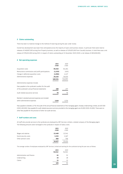#### *5* **Claims outstanding**

There has been no material change to the method of reserving during the year under review.

Overall loss development was lower than anticipated across the majority of years and business classes. In particular there were reserve releases of £48,807,000 arising from Property business, as well as releases of £29,825,000 from Casualty business. In total there was a net release of £78,632,000 during 2021 in respect of claims outstanding at 31 December 2020 (2020: a net release of £85,828,000).

#### *6* **Net operating expenses**

|                                                       | 2021<br>£'000 | 2020<br>£'000 |
|-------------------------------------------------------|---------------|---------------|
| Acquisition costs                                     | 85,040        | 81,264        |
| Reinsurance commissions and profit participations     | (1,329)       | (435)         |
| Change in deferred acquisition costs                  | (4,906)       | 4,117         |
| Administrative expenses                               | 30,426        | 30,025        |
|                                                       | 109,231       | 114,971       |
| Administrative expenses include:                      |               |               |
| Fees payable to the syndicate's auditor for the audit |               |               |
| of the syndicate's annual financial statements        | 288           | 277           |
| Audit related assurance services                      | 78            | 78            |
| Member's standard personal expenses are included      |               |               |
| within administrative expenses                        | 5,848         | 5.735         |

Fees payable to Deloitte LLP for the audit of the annual financial statements of the managing agent, Faraday Underwriting Limited, are £67,000 (2020: £65,000). Fees payable for audit related assurance services provided to the managing agent are £5,000 (2020: £5,000). There were no other fees payable for the provision of other non audit services.

#### *7* **Staff numbers and costs**

All staff who provide services to the syndicate are employed by GRF Services Limited, a related company of the Managing Agent. The following amounts were recharged to the syndicate in respect of salary costs:

|                       | 2021<br>£'000 | 2020<br>£'000 |
|-----------------------|---------------|---------------|
| Wages and salaries    | 13,468        | 12,541        |
| Social security costs | 2,253         | 2,167         |
| Other pension costs   | 906           | 706           |
|                       | 16,627        | 15.414        |

The average number of employees employed by GRF Services Limited and working for the syndicate during the year was as follows:

|                            | 2021<br><b>Number</b> | 2020<br>Number |
|----------------------------|-----------------------|----------------|
| Administration and finance | 61                    | 52             |
| Underwriting               | 33                    | 28             |
| Claims                     | 11                    | 12             |
|                            | 105                   | 92             |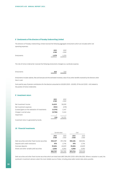#### *8* **Emoluments of the directors of Faraday Underwriting Limited**

The directors of Faraday Underwriting Limited received the following aggregate emoluments which are included within net operating expenses:

|            | 2021<br>£'000 | 2020<br>£'000 |
|------------|---------------|---------------|
| Emoluments | 1,579         | 1.270         |

The role of Active Underwriter received the following emoluments charged as a syndicate expense.

| <b>Emoluments</b> | 643 | 519 |
|-------------------|-----|-----|
|                   |     |     |

Emoluments includes salaries, fees and bonuses and the estimated monetary value of any other benefits received by the directors other than in cash.

Sums paid by way of pension contributions for the directors amounted to £19,000 (2020 - £9,000). Of this £nil (2020 - £nil) related to the position of Active Underwriter.

#### *9* **Investment return**

|                                                  | 2021<br>£'000 | 2020<br>£'000 |
|--------------------------------------------------|---------------|---------------|
| Net investment income                            | 14,615        | 18,009        |
| Net investment expenses                          | (552)         | (478)         |
| (Losses)/gains on the realisation of investments | (4,376)       | 1,347         |
| Change in carried value                          | (9,706)       | 5,343         |
| Impairment                                       | ۰             |               |
|                                                  | (19)          | 24,221        |

Investment return is generated by bonds.

## *10* **Financial investments**

|                                                   | Carried value |               | Cost          |               |
|---------------------------------------------------|---------------|---------------|---------------|---------------|
|                                                   | 2021<br>£'000 | 2020<br>£'000 | 2021<br>£'000 | 2020<br>£'000 |
| Debt securities and other fixed income securities | 920,227       | 874,768       | 930.181       | 869.904       |
| Deposits with credit institutions                 | 976           | 1.746         | 976           | 1.746         |
| Overseas deposits                                 | 35,604        | 40.829        | 35,604        | 40,829        |
| Shares and other variable yield securities        | 6,950         | 6,950         | 6,950         | 6,950         |
|                                                   | 963,757       | 924,293       | 973.711       | 919.429       |

Debt securities and other fixed income securities which are listed total £867,084,000 (2020: £834,584,000). Where a valuation is used, the syndicate's investment advisers select the most reliable source of data, including observable market data where possible.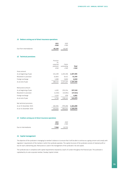## *11* **Debtors arising out of direct insurance operations**

|                         | 2021<br>£'000 | 2020<br>£'000 |
|-------------------------|---------------|---------------|
| Due from intermediaries | 65.245        | 46,367        |

# *12* **Technical provisions**

|                          | Provision       |             |           |
|--------------------------|-----------------|-------------|-----------|
|                          | for<br>unearned | Claims      |           |
|                          | premium         | outstanding | Total     |
|                          | £'000           | £'000       | £'000     |
| Gross amount             |                 |             |           |
| As at beginning of year  | 154,199         | 1,203,196   | 1,357,395 |
| Movement in provision    | 32,844          | 8,411       | 41,255    |
| Foreign exchange         | 1,089           | 5,830       | 6,919     |
| As at end of year        | 188,132         | 1,217,437   | 1,405,569 |
|                          |                 |             |           |
| Reinsurance amount       |                 |             |           |
| As at beginning of year  | 4,165           | 253,154     | 257,319   |
| Movement in provision    | (1,530)         | (15,991)    | (17, 521) |
| Foreign exchange         | 3,103           | 978         | 4,081     |
| As at end of year        | 5,738           | 238,141     | 243,879   |
| Net technical provisions |                 |             |           |
| As at 31 December 2021   | 182,394         | 979,296     | 1,161,690 |
| As at 31 December 2020   | 150.034         | 950.042     | 1,100,076 |
|                          |                 |             |           |

#### *13* **Creditors arising out of direct insurance operations**

|                       | 2021<br>£'000 | 2020<br>£'000 |
|-----------------------|---------------|---------------|
| Due to intermediaries | 7.946         | 10.735        |

#### *14* **Capital management**

The objective of the syndicate in managing its member's balance is to ensure that it will be able to continue as a going concern and comply with regulators' requirements of the markets in which the syndicate operates. The capital structure of the syndicate consists of retained profit or loss for each underwriting year. Reinsurance is used in the management of the syndicate's risk and capital.

The syndicate was in compliance with capital requirements imposed by Lloyd's of London throughout the financial year. The syndicate is capitalised by its sole corporate member, Faraday Capital Limited.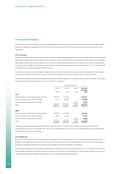## *15* **Financial risk management**

The syndicate monitors and manages the financial risks relating to the operations of the syndicate through internal risk reports which analyse exposures by degree and magnitude of risks. These risks include market risk (currency risk, interest rate risk and price risk), credit risk and liquidity risk.

#### *15 (a)* **Fair value**

Fair value is the amount for which an asset or liability could be exchanged between willing parties in an arm's length transaction. Fair values are determined at prices quoted in active markets. In some instances, such price information is not available for all instruments and the managing agent applies valuation techniques to measure such instruments. These valuation techniques make maximum use of market observable data but in some cases management estimates as well as observable market inputs are used within the valuation model. There is no standard model and different assumptions would generate different results.

Fair values are subject to a control framework designed to ensure that input variables and output are assessed independent of the risk taker. These inputs and outputs are provided to us by our investment managers who derive them through a formal valuation committee.

The table below shows financial assets and liabilities carried at fair value through profit or loss (as disclosed in note 10) grouped into the level in the fair value hierarchy into which each fair value measurement is categorised.

|                                                   | Fair value hierarchy |         |         |                         |
|---------------------------------------------------|----------------------|---------|---------|-------------------------|
|                                                   | Level 1              | Level 2 | Level 3 | Sub-total<br>fair value |
|                                                   | £'000                | £'000   | £'000   | £'000                   |
| 2021                                              |                      |         |         |                         |
| Debt securities and other fixed income securities | 795.779              | 124,448 |         | 920,227                 |
| Loans and deposits with credit institutions       | 8,171                | 28,409  |         | 36,580                  |
| Shares and other variable yield securities        |                      |         | 6,950   | 6,950                   |
| Total                                             | 803,950              | 152,857 | 6,950   | 963,757                 |
| 2020                                              |                      |         |         |                         |
| Debt securities and other fixed income securities | 622,959              | 251,809 |         | 874,768                 |
| Loans and deposits with credit institutions       | 8,902                | 33,673  |         | 42,575                  |
| Shares and other variable yield securities        |                      |         | 6,950   | 6,950                   |
| Total                                             | 631,861              | 285,482 | 6,950   | 924,293                 |

Shares and other variable yield securities classified as Level 3 are loans to the Lloyd's Central Fund in respect of the 2019 and 2020 underwriting years; they are not tradeable. Their valuation, in accordance with our policy as fair value, recognises the credit and illiquidity risk of the loans and an element of subjectivity.

#### *15 (b)* **Market risk**

Market risk is the risk of adverse financial impact as a consequence of market movements such as currency exchange rates, interest rates and other price changes. Market risk arises due to fluctuations in both the value of assets held and the value of liabilities. The objective of the syndicate in managing its market risk is to ensure risk is managed in line with the syndicate's risk appetite.

The syndicate undertakes certain transactions denominated in foreign currencies and has minimal exposure to currency risk as the syndicate's financial assets are primarily matched to the same currencies as its insurance contract liabilities. As a result, foreign exchange risk arises only to the extent that assets and liabilities denominated in other currencies are not precisely matched.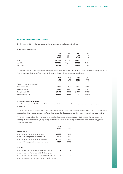Carrying amounts of the syndicate's material foreign currency denominated assets and liabilities:

#### *1.* **Foreign currency exposure**

|             | USD<br>2021<br>£'000 | <b>USD</b><br>2020<br>£'000 | CAD<br>2021<br>£'000 | CAD<br>2020<br>£'000 |
|-------------|----------------------|-----------------------------|----------------------|----------------------|
| Assets      | 981,880              | 927,458                     | 97,405               | 71,627               |
| Liabilities | 957,101              | 909,261                     | 62,350               | 48,824               |
| Net Assets  | 24,779               | 18,197                      | 35,055               | 22,803               |

The following table details the syndicate's sensitivity to a increase and decrease in the value of GBP against the relevant foreign currencies. For each sensitivity the impact of change in a single factor is shown, with other assumptions unchanged.

|                                | USD<br>2021<br>£'000 | <b>USD</b><br>2020<br>£'000 | <b>CAD</b><br>2021<br>£'000 | CAD<br>2020<br>£'000 |
|--------------------------------|----------------------|-----------------------------|-----------------------------|----------------------|
| Change in exchange against GBP |                      |                             |                             |                      |
| Weakens by 20%                 | 4.956                | 3,639                       | 7.011                       | 4,561                |
| Weakens by 10%                 | 2.478                | 1.820                       | 3,506                       | 2.280                |
| Strengthens by 10%             | (2, 478)             | (1,820)                     | (3,506)                     | (2,280)              |
| Strengthens by 20%             | (4,956)              | (3.639)                     | (7.011)                     | (4, 561)             |

#### *2.* **Interest rate risk management**

Interest rate risk is the risk that the value of future cash flows of a financial instrument will fluctuate because of changes in market interest rates.

The syndicate is exposed to interest rate risk as it invests in long term debt at both fixed and floating interest rates. The risk is managed by the syndicate by maintaining an appropriate mix of asset duration such that the duration of liabilities is closely matched by our asset portfolio.

The sensitivity analyses below have been determined based on the exposure to interest rates. A 0.5% increase or decrease is used when reporting interest rate risk internally to key management personnel and represents management's assessment of the reasonably possible change in interest rates.

|                                                 | 2021    | 2020    |
|-------------------------------------------------|---------|---------|
|                                                 | £'000   | £'000   |
| Interest rate risk                              |         |         |
| Impact of 50 basis point increase on result     | (2,506) | (5,013) |
| Impact of 50 basis point decrease on result     | 1.937   | 3.018   |
| Impact of 50 basis point increase on net assets | (2,506) | (5,013) |
| Impact of 50 basis point decrease on net assets | 1.937   | 3.018   |

#### **Price risk**

| Impact on result of 5% increase in Stock Market prices     | ۰ |  |
|------------------------------------------------------------|---|--|
| Impact on result of 5% increase in Stock Market prices     | ۰ |  |
| Impact on net assets of 5% increase in Stock Market prices | ۰ |  |
| Impact on net assets of 5% decrease in Stock Market prices | ۰ |  |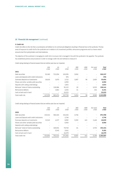#### *3***. Credit risk**

Credit risk refers to the risk that a counterparty will default on its contractual obligations resulting in financial loss to the syndicate. The key areas of exposure to credit risk for the syndicate are in relation to its investment portfolio, reinsurance programme and to a lesser extent amounts due from policyholders and intermediaries.

The objective of the syndicate in managing its credit risk is to ensure risk is managed in line with the syndicate's risk appetite. The syndicate has established policies and procedures in order to manage credit risk and methods to measure it.

Credit rating relating to financial assets that are neither past due nor impaired.

|                                             | <b>AAA</b><br>£'000      | AA<br>£'000 | A<br>£'000 | <b>BBB</b><br>£'000      | $<$ BBB<br>£'000 | Not rated<br>£'000       | <b>Total</b><br>£'000 |
|---------------------------------------------|--------------------------|-------------|------------|--------------------------|------------------|--------------------------|-----------------------|
| 2021                                        |                          |             |            |                          |                  |                          |                       |
| Debt securities                             | 91.360                   | 721.956     | 103.095    | 3,816                    |                  | $\overline{\phantom{a}}$ | 920,227               |
| Loans and deposits with credit institutions |                          |             | 976        |                          |                  |                          | 976                   |
| Overseas deposits as investments            | 26.616                   | 1.670       | 2.722      | 1.807                    | 96               | 2.693                    | 35,604                |
| Shares and other variable yield securities  |                          |             | 6,950      |                          |                  |                          | 6,950                 |
| Deposits with ceding undertakings           |                          |             | 1,824      | $\overline{\phantom{0}}$ |                  | $\qquad \qquad -$        | 1,824                 |
| Reinsurer' share of claims outstanding      | $\overline{\phantom{a}}$ | 136.986     | 95,112     | 20                       |                  | 6.023                    | 238,141               |
| Reinsurance debtors                         |                          | 1.862       | 4.034      | 11                       |                  | 244                      | 6,151                 |
| Cash at bank and in hand                    |                          |             | 33,023     |                          |                  |                          | 33,023                |
| Total credit risk                           | 117,976                  | 862.474     | 247,736    | 5,654                    | 96               | 8,960                    | 1,242,896             |

Credit rating relating to financial assets that are neither past due nor impaired.

|                                             | <b>AAA</b><br>£'000      | AA<br>£'000 | $\overline{A}$<br>£'000 | <b>BBB</b><br>£'000 | $<$ BBB<br>£'000 | Not rated<br>£'000       | Total<br>£'000 |
|---------------------------------------------|--------------------------|-------------|-------------------------|---------------------|------------------|--------------------------|----------------|
| 2020                                        |                          |             |                         |                     |                  |                          |                |
| Debt securities                             | 133,312                  | 582.165     | 154,545                 | 4.746               |                  | $\overline{\phantom{a}}$ | 874,768        |
| Loans and deposits with credit institutions |                          |             | 1.746                   |                     |                  |                          | 1,746          |
| Overseas deposits as investments            | 21.543                   | 4.217       | 8.982                   | 3.200               | 441              | 2.446                    | 40,829         |
| Shares and other variable yield securities  |                          |             | 6,950                   |                     |                  | ٠                        | 6,950          |
| Deposits with ceding undertakings           |                          |             |                         |                     |                  |                          |                |
| Reinsurer' share of claims outstanding      | $\overline{\phantom{a}}$ | 169.591     | 79.749                  | 61                  |                  | 3.753                    | 253,154        |
| Reinsurance debtors                         | $\overline{\phantom{0}}$ | 5.540       | 3.641                   |                     |                  | -                        | 9.181          |
| Cash at bank and in hand                    |                          |             | 16,379                  |                     |                  | $\qquad \qquad -$        | 16,379         |
| Total credit risk                           | 154,855                  | 761.513     | 271,992                 | 8.007               | 441              | 6.199                    | 1,203,007      |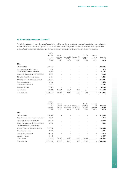The following table shows the carrying value of assets that are neither past due nor impaired, the ageing of assets that are past due but not impaired and assets that have been impaired. The factors considered in determining that the value of the assets have been impaired were: analysis of impairment, ageing of balances, past loss experience, current economic conditions and other relevant circumstances.

| Neither<br>past due<br>nor<br>unpaired<br>£'000 | Past due<br>less than<br>30 Days<br>£'000 | Past due 31<br>to 60 Days<br>£'000 | Past due 61<br>to 90 Days<br>£'000 | Past due<br>more than<br>90 Days<br>£'000 | Past due<br>and<br>impaired<br>£'000 | Carrying<br>amount<br>£'000 |
|-------------------------------------------------|-------------------------------------------|------------------------------------|------------------------------------|-------------------------------------------|--------------------------------------|-----------------------------|
|                                                 |                                           |                                    |                                    |                                           |                                      |                             |
| 920,227                                         |                                           |                                    |                                    |                                           | $\overline{\phantom{a}}$             | 920,227                     |
| 976                                             |                                           |                                    |                                    |                                           |                                      | 976                         |
| 35,604                                          |                                           |                                    | $\overline{\phantom{a}}$           | $\overline{a}$                            | $\overline{\phantom{m}}$             | 35,604                      |
| 6,950                                           |                                           |                                    |                                    |                                           |                                      | 6,950                       |
| 1,824                                           |                                           |                                    |                                    |                                           |                                      | 1,824                       |
| 238,141                                         |                                           |                                    |                                    | $\overline{a}$                            | $\overline{\phantom{a}}$             | 238,141                     |
| 6,151                                           |                                           |                                    |                                    |                                           |                                      | 6,151                       |
| 33,023                                          |                                           |                                    |                                    |                                           | $\overline{\phantom{a}}$             | 33,023                      |
| 65,245                                          |                                           |                                    |                                    |                                           |                                      | 65,245                      |
| 97,186                                          | 12,293                                    | 4,667                              | 892                                | 649                                       | $\overline{\phantom{a}}$             | 115,687                     |
| 1,405,327                                       | 12,293                                    | 4,667                              | 892                                | 649                                       |                                      | 1,423,828                   |
|                                                 |                                           |                                    |                                    |                                           |                                      |                             |

|                                             | VUU <br>past due<br>nor<br>unpaired<br>£'000 | Past due<br>less than<br>30 Days<br>£'000 | Past due 31<br>to 60 Days<br>£'000 | Past due 61<br>to 90 Days<br>£'000 | Past due<br>more than<br>90 Days<br>£'000 | Past due<br>and<br>impaired<br>£'000 | Carrying<br>amount<br>£'000 |
|---------------------------------------------|----------------------------------------------|-------------------------------------------|------------------------------------|------------------------------------|-------------------------------------------|--------------------------------------|-----------------------------|
| 2020                                        |                                              |                                           |                                    |                                    |                                           |                                      |                             |
| Debt securities                             | 874,768                                      |                                           |                                    |                                    |                                           | $\overline{\phantom{a}}$             | 874,768                     |
| Deposits and loans with credit institutions | 1,746                                        |                                           |                                    |                                    |                                           |                                      | 1,746                       |
| Overseas deposits as investments            | 40,829                                       |                                           |                                    |                                    |                                           |                                      | 40,829                      |
| Shares and other variable yield securities  | 6,950                                        |                                           |                                    |                                    | ٠                                         |                                      | 6,950                       |
| Deposits with ceding undertakings           |                                              |                                           |                                    |                                    |                                           |                                      |                             |
| Reinsurer' share of claims outstanding      | 253,154                                      |                                           | $\overline{\phantom{0}}$           | $\overline{\phantom{0}}$           | $\qquad \qquad -$                         | $\overline{\phantom{a}}$             | 253,154                     |
| Reinsurance debtors                         | 9,181                                        |                                           |                                    |                                    |                                           |                                      | 9,181                       |
| Cash at bank and in hand                    | 16,379                                       |                                           |                                    |                                    |                                           |                                      | 16,379                      |
| Insurance debtors                           | 46,367                                       |                                           |                                    |                                    |                                           |                                      | 46,367                      |
| Other debtors                               | 72,020                                       | 26,131                                    | 4,427                              | 659                                | 3,988                                     | $\overline{\phantom{a}}$             | 107,225                     |
| Total credit risk                           | 1.321.394                                    | 26.131                                    | 4.427                              | 659                                | 3,988                                     |                                      | 1,356,599                   |

*Neither*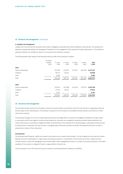#### *4.* **Liquidity risk management**

Liquidity risk is the risk that the syndicate cannot meet its obligations associated with financial liabilities as they fall due. The syndicate has adopted an appropriate liquidity risk management framework for the management of the syndicate's liquidity requirements. The syndicate is exposed to liquidity risk arising from clients on its insurance and investment contracts.

The following table shows details of the expected maturity profile of the syndicate's creditors.

|                    | No stated<br>maturity<br>£'000 | $0-1$ year<br>£'000 | 1-3 years<br>£'000 | 3-5 years<br>£'000 | >5 years<br>£'000        | Total<br>£'000 |
|--------------------|--------------------------------|---------------------|--------------------|--------------------|--------------------------|----------------|
| 2021               |                                |                     |                    |                    |                          |                |
| Claims outstanding | $\qquad \qquad -$              | 372,366             | 433,370            | 127,543            | 284,158                  | 1,217,437      |
| Creditors          | $\qquad \qquad -$              | 38,717              | 20,351             |                    |                          | 59,068         |
| Other              | $\qquad \qquad -$              | 5,066               |                    |                    |                          | 5,066          |
| Total              |                                | 416,149             | 453,721            | 127,543            | 284,158                  | 1,281,571      |
|                    |                                |                     |                    |                    |                          |                |
| 2020               |                                |                     |                    |                    |                          |                |
| Claims outstanding | $\qquad \qquad -$              | 379,541             | 427,998            | 116,318            | 279,339                  | 1,203,196      |
| Creditors          | -                              | 37,475              | 20,137             |                    | $\overline{\phantom{a}}$ | 57,612         |
| Other              | $\qquad \qquad -$              | 3,247               |                    |                    |                          | 3,247          |
| Total              |                                | 420.263             | 448.135            | 116.318            | 279.339                  | 1.264.055      |

#### *16* **Insurance risk management**

The syndicate accepts insurance risk through its insurance contracts where it assumes the risk of loss from persons or organisations that are directly subject to the underlying loss. The syndicate is exposed to the uncertainty surrounding the timing, frequency and severity of claims under these contracts.

The syndicate manages its risk via its underwriting and reinsurance strategy within an overall risk management framework. Pricing is based on assumptions which have regard to trends and past experience. Exposures are managed by having documented underwriting limits and criteria. Reinsurance is purchased to mitigate the effect of potential loss to the syndicate from individual large or catastrophic events and also to provide access to specialist risks and to assist in managing capital. Reinsurance policies are written with approved reinsurers on either a proportional or excess of loss treaty basis.

#### **Concentration**

The syndicate writes Property, Liability and Aviation risks primarily over a twelve month duration. The most significant risks arise from natural disasters and other catastrophes (i.e. high severity, low frequency events). A concentration of risk may also arise from a single insurance contract issued to a particular demographic type of policyholder, within a geographical location or to types of commercial business. The relative variability of the outcome is mitigated if there is a large portfolio of similar risks.

The concentration of non-life insurance by type of contract is summarised below by reference to liabilities .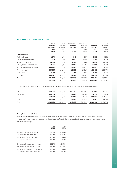## *16* **Insurance risk management** (continued)

|                                   | Gross      | Gross      | Reinsurance | Reinsurance | <b>Net</b> | Net        |
|-----------------------------------|------------|------------|-------------|-------------|------------|------------|
|                                   | technical  | technical  | technical   | technical   | technical  | technical  |
|                                   | provisions | provisions | provisions  | provisions  | provisions | provisions |
|                                   | 2021       | 2020       | 2021        | 2020        | 2021       | 2020       |
|                                   | £'000      | £'000      | £'000       | £'000       | £'000      | £'000      |
| <b>Direct insurance</b>           |            |            |             |             |            |            |
| Accident & health                 | 2,573      | 3,579      | 340         | 287         | 2,233      | 3,292      |
| Motor (third party liability)     | 5,327      | 6,219      | 1,942       | 2,379       | 3,385      | 3,840      |
| Motor (other classes)             | 18,998     | 14,724     | 1,341       | 1,134       | 17,657     | 13,590     |
| Marine, aviation and transport    | 60,804     | 50,826     | 24,893      | 21,206      | 35,911     | 29,620     |
| Fire and other damage to property | 155,831    | 122,186    | 12,380      | 14,112      | 143,451    | 108,074    |
| Third party liability             | 186,295    | 167,388    | 10,272      | 10,915      | 176,023    | 156,473    |
| Other direct                      | 4,089      | 3,360      | 193         | 354         | 3,896      | 3,006      |
| Total direct                      | 433,917    | 368,282    | 51,361      | 50,387      | 382,556    | 317,895    |
| Reinsurance                       | 971,652    | 989,113    | 192,518     | 206,932     | 779,134    | 782,181    |
|                                   | 1,405,569  | 1,357,395  | 243,879     | 257,319     | 1,161,690  | 1,100,076  |

The concentration of non-life insurance by the location of the underlying risk is summarised below by reference to liabilities.

| UK           | 412.241   | 403.491   | 169.272 | 186,685 | 242,969   | 216,806   |
|--------------|-----------|-----------|---------|---------|-----------|-----------|
| EU countries | 109.804   | 97,113    | 11,808  | 10.953  | 97.996    | 86,160    |
| US.          | 650,230   | 651,308   | 45,907  | 48,263  | 604,323   | 603,045   |
| Other        | 233,294   | 205,483   | 16.892  | 11.418  | 216,402   | 194,065   |
| Total        | 1,405,569 | 1,357,395 | 243,879 | 257,319 | 1.161.690 | 1,100,076 |

#### **Assumptions and sensitivities**

Some results of sensitivity testing are set out below, showing the impact on profit before tax and shareholders' equity gross and net of reinsurance. For each sensitivity the impact of a change in a single factor is shown, measured against earned premium in the year, with other assumptions unchanged.

| 2021<br>£'000 | 2020<br>£'000 |
|---------------|---------------|
| (20.840)      | (20, 408)     |
| (19,018)      | (17, 927)     |
| 20.840        | 20,408        |
| 19,018        | 17,927        |
| (20, 840)     | (20, 408)     |
| (19,018)      | (17, 927)     |
| 20.840        | 20,408        |
| 19.018        | 17.927        |
|               |               |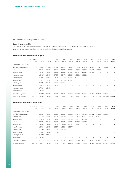# *16* **Insurance risk management** (continued)

#### **Claims development tables**

The following tables show the development of claims over a period of time on both a gross and net of reinsurance basis for each underwriting year and are translated into pounds sterling at the December 2021 year rates.

#### **An analysis of the claims development - gross**

|                              | 2011 and prior<br>£'000  | 2012<br>£'000 | 2013<br>£'000 | 2014<br>£'000 | 2015<br>£'000            | 2016<br>£'000 | 2017<br>£'000            | 2018<br>£'000 | 2019<br>£'000 | 2020<br>£'000 | 2021<br>£'000 | Total<br>£'000    |
|------------------------------|--------------------------|---------------|---------------|---------------|--------------------------|---------------|--------------------------|---------------|---------------|---------------|---------------|-------------------|
| Estimated of claims incurred |                          |               |               |               |                          |               |                          |               |               |               |               |                   |
| At end of underwriting year  | $\overline{\phantom{a}}$ | 175,691       | 104,349       | 90,448        | 81,322                   | 122,731       | 410,759                  | 246,666       | 214,468       | 170,512       | 194,024       | $\blacksquare$    |
| After one year               | $\overline{\phantom{a}}$ | 243,566       | 163,384       | 152,446       | 150,038                  | 239,213       | 517,958                  | 383,090       | 340,614       | 302,360       |               |                   |
| After two years              | ٠                        | 211,912       | 155,298       | 141,554       | 141,958                  | 240,493       | 496,714                  | 367,312       | 315,892       |               |               |                   |
| After three years            | $\overline{\phantom{a}}$ | 199,257       | 138,470       | 137,059       | 133,472                  | 223,635       | 465,832                  | 326,212       |               |               |               |                   |
| After four years             | ٠                        | 190,712       | 130.473       | 131,731       | 129,548                  | 215,521       | 450,501                  |               |               |               | ۰             |                   |
| After five years             | $\overline{\phantom{a}}$ | 183,159       | 131,652       | 130,351       | 126,966                  | 209,091       | $\overline{\phantom{a}}$ |               |               |               |               |                   |
| After six years              | ٠                        | 182,304       | 121,844       | 133,016       | 123,645                  | ٠             |                          |               |               |               |               |                   |
| After seven years            | ٠                        | 180,142       | 121,202       | 132,003       | $\overline{\phantom{a}}$ |               |                          |               |               |               |               |                   |
| After eight years            | $\overline{\phantom{a}}$ | 176,420       | 118,312       | ٠             |                          |               |                          |               |               |               |               |                   |
| After nine years             | $\overline{\phantom{a}}$ | 175,005       |               |               |                          |               |                          |               |               |               |               |                   |
| Cumulative payments          | $\overline{\phantom{a}}$ | 158,767       | 103,913       | 109,608       | 94,983                   | 136,853       | 338,937                  | 203,386       | 153,665       | 90,070        | 27,766        |                   |
| Gross claims reserves        | 288,340                  | 16,238        | 14,399        | 22,395        | 28,662                   | 72,238        | 111,564                  | 122,826       | 162,227       | 212,290       |               | 166,258 1,217,437 |

#### **An analysis of the claims development - net**

|                              | 2011 and prior<br>£'000  | 2012<br>£'000 | 2013<br>£'000 | 2014<br>£'000 | 2015<br>£'000 | 2016<br>£'000 | 2017<br>£'000 | 2018<br>£'000 | 2019<br>£'000 | 2020<br>£'000 | 2021<br>£'000 | Total<br>£'000 |
|------------------------------|--------------------------|---------------|---------------|---------------|---------------|---------------|---------------|---------------|---------------|---------------|---------------|----------------|
| Estimated of claims incurred |                          |               |               |               |               |               |               |               |               |               |               |                |
| At end of underwriting year  | $\overline{\phantom{a}}$ | 122,075       | 96,984        | 89,222        | 79,037        | 115,121       | 244,875       | 176,430       | 197,381       | 164,828       | 189,823       |                |
| After one year               | ٠                        | 185,436       | 143,882       | 143,990       | 144,798       | 228,308       | 348,453       | 286,006       | 304,540       | 268,086       |               |                |
| After two years              | $\overline{\phantom{a}}$ | 156,290       | 137,877       | 134,953       | 133,822       | 229,195       | 338,907       | 283,526       | 287,616       |               |               |                |
| After three years            | $\overline{\phantom{a}}$ | 142,941       | 121,523       | 128,791       | 123,595       | 213,246       | 329,188       | 263,718       |               |               |               |                |
| After four years             | $\overline{\phantom{a}}$ | 134,665       | 115,908       | 123,026       | 121,350       | 205,261       | 321,622       |               |               |               |               |                |
| After five years             | $\sim$                   | 127,056       | 116,501       | 120,970       | 118,500       | 198,977       |               |               |               |               |               |                |
| After six years              | $\sim$                   | 127,396       | 113,037       | 120,007       | 117,348       | ٠             |               |               |               |               |               |                |
| After seven years            | ٠                        | 125,877       | 113,430       | 118,654       |               |               |               |               |               |               |               |                |
| After eight years            | $\overline{\phantom{a}}$ | 122,749       | 110,587       |               |               |               |               |               |               |               |               |                |
| After nine years             | $\overline{\phantom{a}}$ | 121,394       |               |               |               |               |               |               |               |               |               |                |
| Cumulative payments          | $\sim$                   | 105,603       | 97,697        | 99,996        | 90,627        | 131,503       | 227,678       | 169,985       | 150,669       | 83,546        | 26,081        |                |
| Net claims reserves          | 164,856                  | 15,791        | 12,890        | 18,658        | 26,721        | 67,474        | 93,944        | 93,733        | 136,947       | 184,540       | 163,742       | 979,296        |